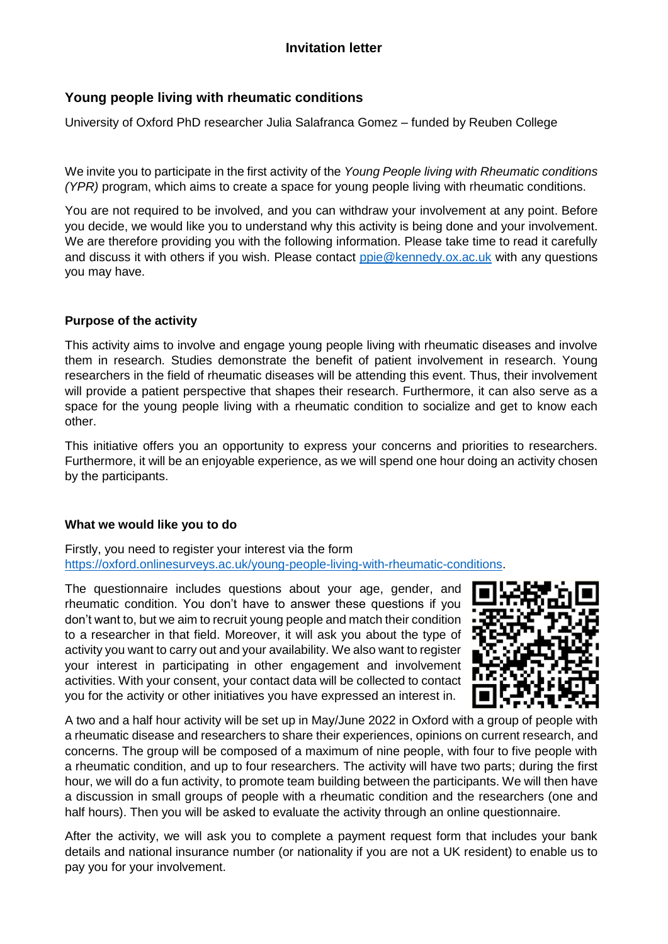# **Young people living with rheumatic conditions**

University of Oxford PhD researcher Julia Salafranca Gomez – funded by Reuben College

We invite you to participate in the first activity of the *Young People living with Rheumatic conditions (YPR)* program, which aims to create a space for young people living with rheumatic conditions.

You are not required to be involved, and you can withdraw your involvement at any point. Before you decide, we would like you to understand why this activity is being done and your involvement. We are therefore providing you with the following information. Please take time to read it carefully and discuss it with others if you wish. Please contact [ppie@kennedy.ox.ac.uk](mailto:ppie@kennedy.ox.ac.uk) with any questions you may have.

# **Purpose of the activity**

This activity aims to involve and engage young people living with rheumatic diseases and involve them in research. Studies demonstrate the benefit of patient involvement in research. Young researchers in the field of rheumatic diseases will be attending this event. Thus, their involvement will provide a patient perspective that shapes their research. Furthermore, it can also serve as a space for the young people living with a rheumatic condition to socialize and get to know each other.

This initiative offers you an opportunity to express your concerns and priorities to researchers. Furthermore, it will be an enjoyable experience, as we will spend one hour doing an activity chosen by the participants.

#### **What we would like you to do**

Firstly, you need to register your interest via the form [https://oxford.onlinesurveys.ac.uk/young-people-living-with-rheumatic-conditions.](https://oxford.onlinesurveys.ac.uk/young-people-living-with-rheumatic-conditions)

The questionnaire includes questions about your age, gender, and rheumatic condition. You don't have to answer these questions if you don't want to, but we aim to recruit young people and match their condition to a researcher in that field. Moreover, it will ask you about the type of activity you want to carry out and your availability. We also want to register your interest in participating in other engagement and involvement activities. With your consent, your contact data will be collected to contact you for the activity or other initiatives you have expressed an interest in.



A two and a half hour activity will be set up in May/June 2022 in Oxford with a group of people with a rheumatic disease and researchers to share their experiences, opinions on current research, and concerns. The group will be composed of a maximum of nine people, with four to five people with a rheumatic condition, and up to four researchers. The activity will have two parts; during the first hour, we will do a fun activity, to promote team building between the participants. We will then have a discussion in small groups of people with a rheumatic condition and the researchers (one and half hours). Then you will be asked to evaluate the activity through an online questionnaire.

After the activity, we will ask you to complete a payment request form that includes your bank details and national insurance number (or nationality if you are not a UK resident) to enable us to pay you for your involvement.